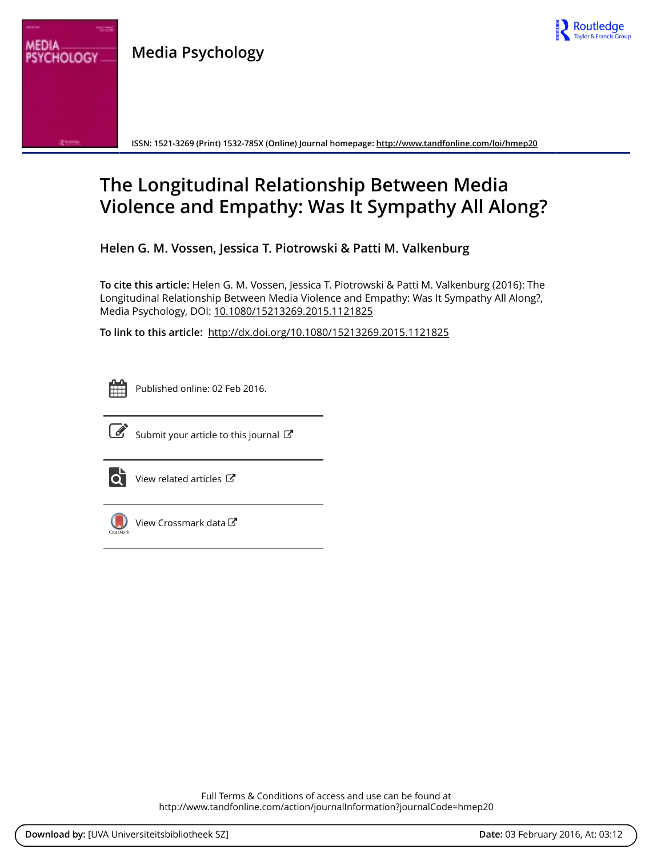

**Media Psychology**

**ISSN: 1521-3269 (Print) 1532-785X (Online) Journal homepage: <http://www.tandfonline.com/loi/hmep20>**

# **The Longitudinal Relationship Between Media Violence and Empathy: Was It Sympathy All Along?**

**Helen G. M. Vossen, Jessica T. Piotrowski & Patti M. Valkenburg**

**To cite this article:** Helen G. M. Vossen, Jessica T. Piotrowski & Patti M. Valkenburg (2016): The Longitudinal Relationship Between Media Violence and Empathy: Was It Sympathy All Along?, Media Psychology, DOI: [10.1080/15213269.2015.1121825](http://www.tandfonline.com/action/showCitFormats?doi=10.1080/15213269.2015.1121825)

**To link to this article:** <http://dx.doi.org/10.1080/15213269.2015.1121825>



MEDIA

PSYCHOLOGY

Published online: 02 Feb 2016.



 $\overline{\mathscr{L}}$  [Submit your article to this journal](http://www.tandfonline.com/action/authorSubmission?journalCode=hmep20&page=instructions)  $\mathbb{Z}$ 



 $\overrightarrow{Q}$  [View related articles](http://www.tandfonline.com/doi/mlt/10.1080/15213269.2015.1121825)  $\overrightarrow{C}$ 



[View Crossmark data](http://crossmark.crossref.org/dialog/?doi=10.1080/15213269.2015.1121825&domain=pdf&date_stamp=2016-02-02)

Full Terms & Conditions of access and use can be found at <http://www.tandfonline.com/action/journalInformation?journalCode=hmep20>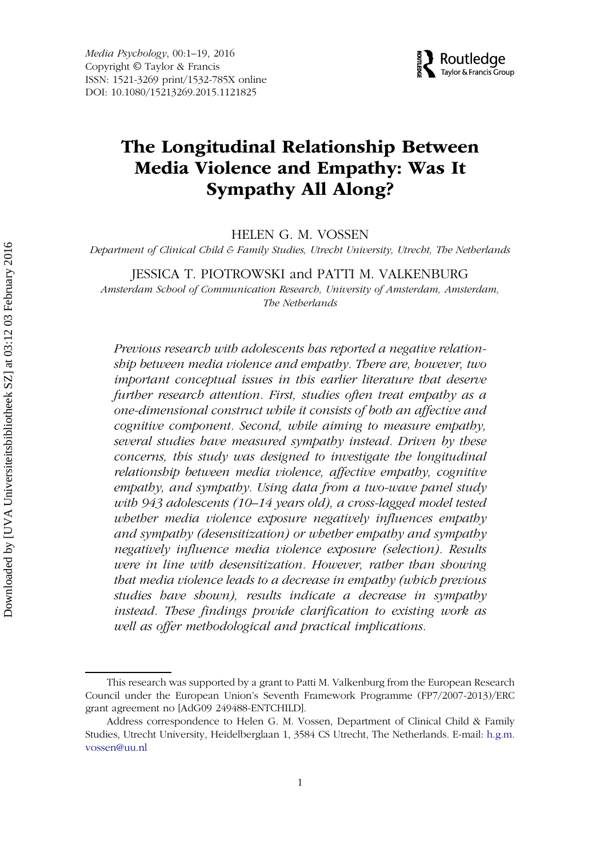

# The Longitudinal Relationship Between Media Violence and Empathy: Was It Sympathy All Along?

HELEN G. M. VOSSEN

Department of Clinical Child & Family Studies, Utrecht University, Utrecht, The Netherlands

JESSICA T. PIOTROWSKI and PATTI M. VALKENBURG

Amsterdam School of Communication Research, University of Amsterdam, Amsterdam, The Netherlands

Previous research with adolescents has reported a negative relationship between media violence and empathy. There are, however, two important conceptual issues in this earlier literature that deserve further research attention. First, studies often treat empathy as a one-dimensional construct while it consists of both an affective and cognitive component. Second, while aiming to measure empathy, several studies have measured sympathy instead. Driven by these concerns, this study was designed to investigate the longitudinal relationship between media violence, affective empathy, cognitive empathy, and sympathy. Using data from a two-wave panel study with 943 adolescents (10–14 years old), a cross-lagged model tested whether media violence exposure negatively influences empathy and sympathy (desensitization) or whether empathy and sympathy negatively influence media violence exposure (selection). Results were in line with desensitization. However, rather than showing that media violence leads to a decrease in empathy (which previous studies have shown), results indicate a decrease in sympathy instead. These findings provide clarification to existing work as well as offer methodological and practical implications.

This research was supported by a grant to Patti M. Valkenburg from the European Research Council under the European Union's Seventh Framework Programme (FP7/2007-2013)/ERC grant agreement no [AdG09 249488-ENTCHILD].

Address correspondence to Helen G. M. Vossen, Department of Clinical Child & Family Studies, Utrecht University, Heidelberglaan 1, 3584 CS Utrecht, The Netherlands. E-mail: h.g.m. vossen@uu.nl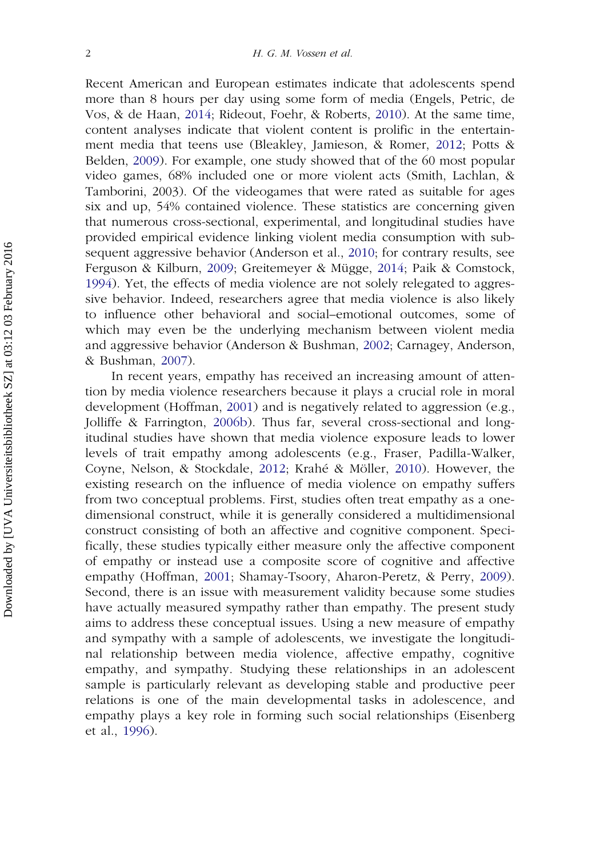Recent American and European estimates indicate that adolescents spend more than 8 hours per day using some form of media (Engels, Petric, de Vos, & de Haan, [2014](#page-16-0); Rideout, Foehr, & Roberts, [2010](#page-18-0)). At the same time, content analyses indicate that violent content is prolific in the entertainment media that teens use (Bleakley, Jamieson, & Romer, [2012](#page-15-0); Potts & Belden, [2009\)](#page-18-0). For example, one study showed that of the 60 most popular video games, 68% included one or more violent acts (Smith, Lachlan, & Tamborini, 2003). Of the videogames that were rated as suitable for ages six and up, 54% contained violence. These statistics are concerning given that numerous cross-sectional, experimental, and longitudinal studies have provided empirical evidence linking violent media consumption with subsequent aggressive behavior (Anderson et al., [2010;](#page-15-0) for contrary results, see Ferguson & Kilburn, [2009](#page-16-0); Greitemeyer & Mügge, [2014](#page-17-0); Paik & Comstock, [1994](#page-18-0)). Yet, the effects of media violence are not solely relegated to aggressive behavior. Indeed, researchers agree that media violence is also likely to influence other behavioral and social–emotional outcomes, some of which may even be the underlying mechanism between violent media and aggressive behavior (Anderson & Bushman, [2002](#page-15-0); Carnagey, Anderson, & Bushman, [2007](#page-16-0)).

In recent years, empathy has received an increasing amount of attention by media violence researchers because it plays a crucial role in moral development (Hoffman, [2001\)](#page-17-0) and is negatively related to aggression (e.g., Jolliffe & Farrington, [2006b\)](#page-17-0). Thus far, several cross-sectional and longitudinal studies have shown that media violence exposure leads to lower levels of trait empathy among adolescents (e.g., Fraser, Padilla-Walker, Coyne, Nelson, & Stockdale, [2012](#page-16-0); Krahé & Möller, [2010](#page-17-0)). However, the existing research on the influence of media violence on empathy suffers from two conceptual problems. First, studies often treat empathy as a onedimensional construct, while it is generally considered a multidimensional construct consisting of both an affective and cognitive component. Specifically, these studies typically either measure only the affective component of empathy or instead use a composite score of cognitive and affective empathy (Hoffman, [2001;](#page-17-0) Shamay-Tsoory, Aharon-Peretz, & Perry, [2009\)](#page-18-0). Second, there is an issue with measurement validity because some studies have actually measured sympathy rather than empathy. The present study aims to address these conceptual issues. Using a new measure of empathy and sympathy with a sample of adolescents, we investigate the longitudinal relationship between media violence, affective empathy, cognitive empathy, and sympathy. Studying these relationships in an adolescent sample is particularly relevant as developing stable and productive peer relations is one of the main developmental tasks in adolescence, and empathy plays a key role in forming such social relationships (Eisenberg et al., [1996\)](#page-16-0).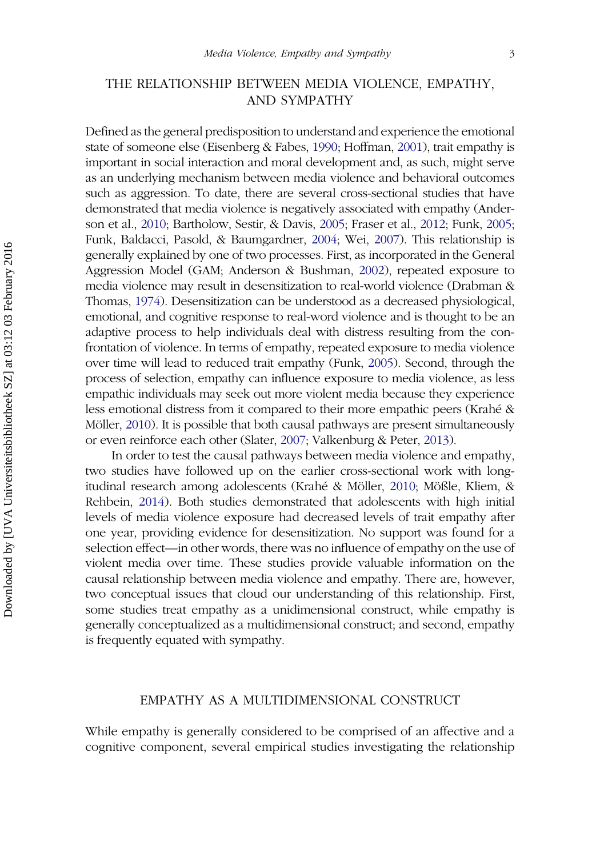# THE RELATIONSHIP BETWEEN MEDIA VIOLENCE, EMPATHY, AND SYMPATHY

Defined as the general predisposition to understand and experience the emotional state of someone else (Eisenberg & Fabes, [1990](#page-16-0); Hoffman, [2001\)](#page-17-0), trait empathy is important in social interaction and moral development and, as such, might serve as an underlying mechanism between media violence and behavioral outcomes such as aggression. To date, there are several cross-sectional studies that have demonstrated that media violence is negatively associated with empathy (Anderson et al., [2010](#page-15-0); Bartholow, Sestir, & Davis, [2005;](#page-15-0) Fraser et al., [2012](#page-16-0); Funk, [2005;](#page-16-0) Funk, Baldacci, Pasold, & Baumgardner, [2004;](#page-17-0) Wei, [2007](#page-19-0)). This relationship is generally explained by one of two processes. First, as incorporated in the General Aggression Model (GAM; Anderson & Bushman, [2002\)](#page-15-0), repeated exposure to media violence may result in desensitization to real-world violence (Drabman & Thomas, [1974](#page-16-0)). Desensitization can be understood as a decreased physiological, emotional, and cognitive response to real-word violence and is thought to be an adaptive process to help individuals deal with distress resulting from the confrontation of violence. In terms of empathy, repeated exposure to media violence over time will lead to reduced trait empathy (Funk, [2005](#page-16-0)). Second, through the process of selection, empathy can influence exposure to media violence, as less empathic individuals may seek out more violent media because they experience less emotional distress from it compared to their more empathic peers (Krahé & Möller, [2010\)](#page-17-0). It is possible that both causal pathways are present simultaneously or even reinforce each other (Slater, [2007;](#page-18-0) Valkenburg & Peter, [2013](#page-19-0)).

In order to test the causal pathways between media violence and empathy, two studies have followed up on the earlier cross-sectional work with longitudinal research among adolescents (Krahé & Möller, [2010;](#page-17-0) Mößle, Kliem, & Rehbein, [2014](#page-18-0)). Both studies demonstrated that adolescents with high initial levels of media violence exposure had decreased levels of trait empathy after one year, providing evidence for desensitization. No support was found for a selection effect—in other words, there was no influence of empathy on the use of violent media over time. These studies provide valuable information on the causal relationship between media violence and empathy. There are, however, two conceptual issues that cloud our understanding of this relationship. First, some studies treat empathy as a unidimensional construct, while empathy is generally conceptualized as a multidimensional construct; and second, empathy is frequently equated with sympathy.

## EMPATHY AS A MULTIDIMENSIONAL CONSTRUCT

While empathy is generally considered to be comprised of an affective and a cognitive component, several empirical studies investigating the relationship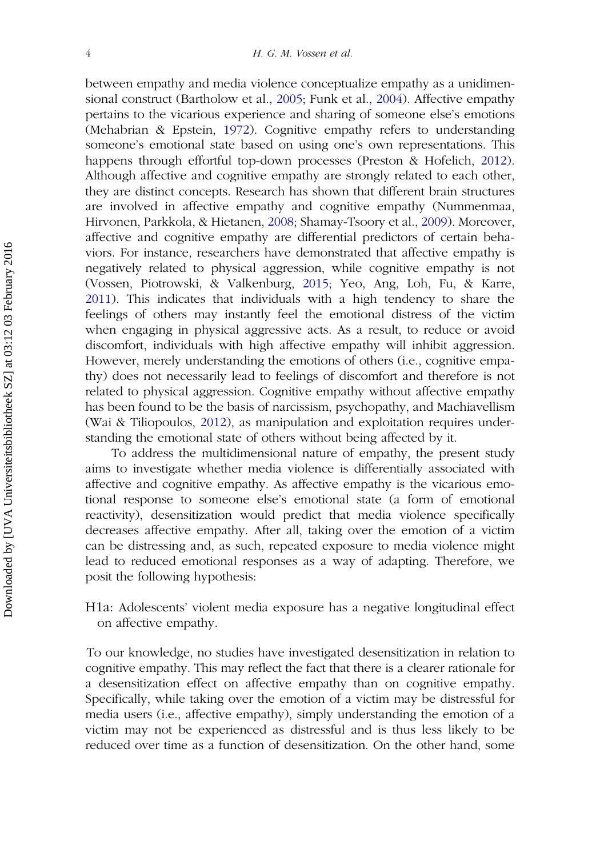between empathy and media violence conceptualize empathy as a unidimensional construct (Bartholow et al., [2005](#page-15-0); Funk et al., [2004\)](#page-17-0). Affective empathy pertains to the vicarious experience and sharing of someone else's emotions (Mehabrian & Epstein, [1972\)](#page-17-0). Cognitive empathy refers to understanding someone's emotional state based on using one's own representations. This happens through effortful top-down processes (Preston & Hofelich, [2012\)](#page-18-0). Although affective and cognitive empathy are strongly related to each other, they are distinct concepts. Research has shown that different brain structures are involved in affective empathy and cognitive empathy (Nummenmaa, Hirvonen, Parkkola, & Hietanen, [2008;](#page-18-0) Shamay-Tsoory et al., [2009\)](#page-18-0). Moreover, affective and cognitive empathy are differential predictors of certain behaviors. For instance, researchers have demonstrated that affective empathy is negatively related to physical aggression, while cognitive empathy is not (Vossen, Piotrowski, & Valkenburg, [2015](#page-19-0); Yeo, Ang, Loh, Fu, & Karre, [2011\)](#page-19-0). This indicates that individuals with a high tendency to share the feelings of others may instantly feel the emotional distress of the victim when engaging in physical aggressive acts. As a result, to reduce or avoid discomfort, individuals with high affective empathy will inhibit aggression. However, merely understanding the emotions of others (i.e., cognitive empathy) does not necessarily lead to feelings of discomfort and therefore is not related to physical aggression. Cognitive empathy without affective empathy has been found to be the basis of narcissism, psychopathy, and Machiavellism (Wai & Tiliopoulos, [2012](#page-19-0)), as manipulation and exploitation requires understanding the emotional state of others without being affected by it.

To address the multidimensional nature of empathy, the present study aims to investigate whether media violence is differentially associated with affective and cognitive empathy. As affective empathy is the vicarious emotional response to someone else's emotional state (a form of emotional reactivity), desensitization would predict that media violence specifically decreases affective empathy. After all, taking over the emotion of a victim can be distressing and, as such, repeated exposure to media violence might lead to reduced emotional responses as a way of adapting. Therefore, we posit the following hypothesis:

H1a: Adolescents' violent media exposure has a negative longitudinal effect on affective empathy.

To our knowledge, no studies have investigated desensitization in relation to cognitive empathy. This may reflect the fact that there is a clearer rationale for a desensitization effect on affective empathy than on cognitive empathy. Specifically, while taking over the emotion of a victim may be distressful for media users (i.e., affective empathy), simply understanding the emotion of a victim may not be experienced as distressful and is thus less likely to be reduced over time as a function of desensitization. On the other hand, some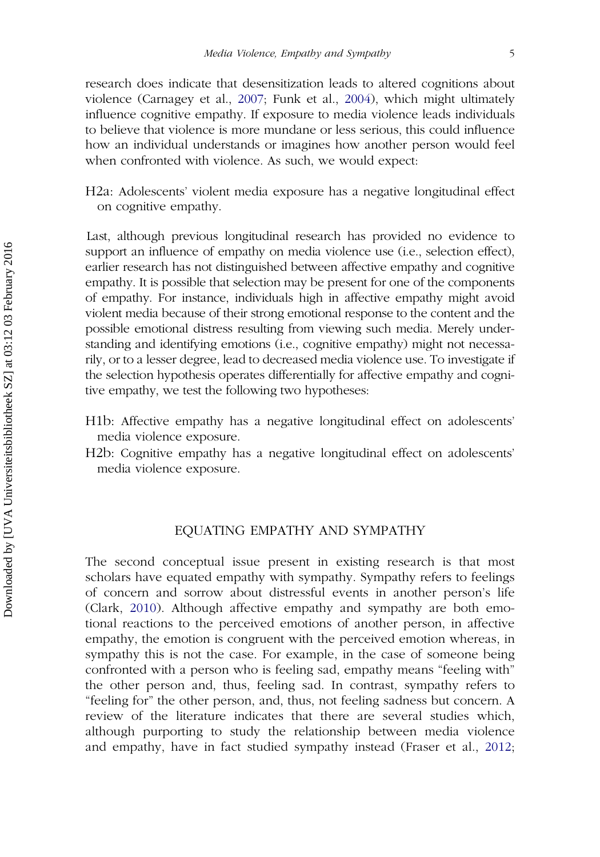research does indicate that desensitization leads to altered cognitions about violence (Carnagey et al., [2007](#page-16-0); Funk et al., [2004](#page-17-0)), which might ultimately influence cognitive empathy. If exposure to media violence leads individuals to believe that violence is more mundane or less serious, this could influence how an individual understands or imagines how another person would feel when confronted with violence. As such, we would expect:

H2a: Adolescents' violent media exposure has a negative longitudinal effect on cognitive empathy.

Last, although previous longitudinal research has provided no evidence to support an influence of empathy on media violence use (i.e., selection effect), earlier research has not distinguished between affective empathy and cognitive empathy. It is possible that selection may be present for one of the components of empathy. For instance, individuals high in affective empathy might avoid violent media because of their strong emotional response to the content and the possible emotional distress resulting from viewing such media. Merely understanding and identifying emotions (i.e., cognitive empathy) might not necessarily, or to a lesser degree, lead to decreased media violence use. To investigate if the selection hypothesis operates differentially for affective empathy and cognitive empathy, we test the following two hypotheses:

- H1b: Affective empathy has a negative longitudinal effect on adolescents' media violence exposure.
- H2b: Cognitive empathy has a negative longitudinal effect on adolescents' media violence exposure.

# EQUATING EMPATHY AND SYMPATHY

The second conceptual issue present in existing research is that most scholars have equated empathy with sympathy. Sympathy refers to feelings of concern and sorrow about distressful events in another person's life (Clark, [2010](#page-16-0)). Although affective empathy and sympathy are both emotional reactions to the perceived emotions of another person, in affective empathy, the emotion is congruent with the perceived emotion whereas, in sympathy this is not the case. For example, in the case of someone being confronted with a person who is feeling sad, empathy means "feeling with" the other person and, thus, feeling sad. In contrast, sympathy refers to "feeling for" the other person, and, thus, not feeling sadness but concern. A review of the literature indicates that there are several studies which, although purporting to study the relationship between media violence and empathy, have in fact studied sympathy instead (Fraser et al., [2012;](#page-16-0)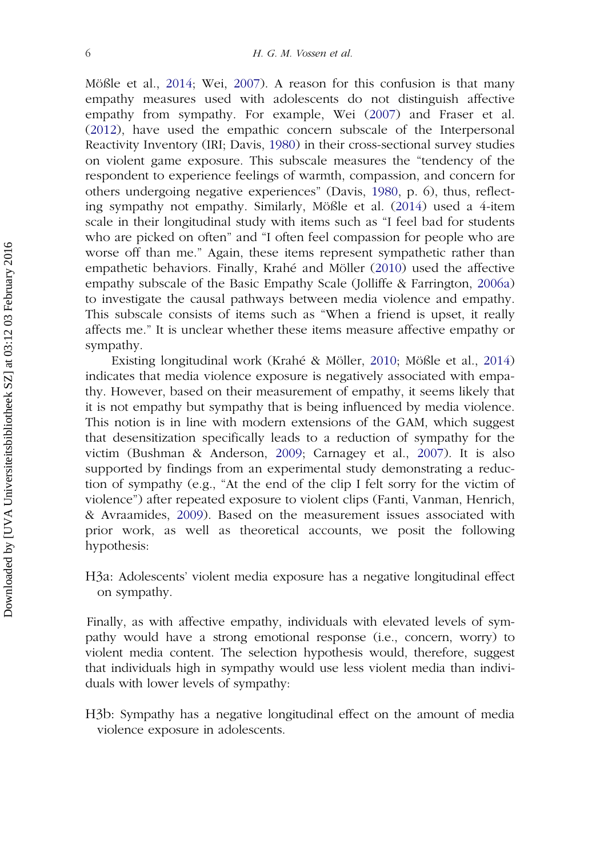Mößle et al., [2014;](#page-18-0) Wei, [2007\)](#page-19-0). A reason for this confusion is that many empathy measures used with adolescents do not distinguish affective empathy from sympathy. For example, Wei [\(2007](#page-19-0)) and Fraser et al. ([2012](#page-16-0)), have used the empathic concern subscale of the Interpersonal Reactivity Inventory (IRI; Davis, [1980](#page-16-0)) in their cross-sectional survey studies on violent game exposure. This subscale measures the "tendency of the respondent to experience feelings of warmth, compassion, and concern for others undergoing negative experiences" (Davis, [1980](#page-16-0), p. 6), thus, reflecting sympathy not empathy. Similarly, Mößle et al. [\(2014\)](#page-18-0) used a 4-item scale in their longitudinal study with items such as "I feel bad for students who are picked on often" and "I often feel compassion for people who are worse off than me." Again, these items represent sympathetic rather than empathetic behaviors. Finally, Krahé and Möller ([2010](#page-17-0)) used the affective empathy subscale of the Basic Empathy Scale (Jolliffe & Farrington, [2006a](#page-17-0)) to investigate the causal pathways between media violence and empathy. This subscale consists of items such as "When a friend is upset, it really affects me." It is unclear whether these items measure affective empathy or sympathy.

Existing longitudinal work (Krahé & Möller, [2010](#page-17-0); Mößle et al., [2014](#page-18-0)) indicates that media violence exposure is negatively associated with empathy. However, based on their measurement of empathy, it seems likely that it is not empathy but sympathy that is being influenced by media violence. This notion is in line with modern extensions of the GAM, which suggest that desensitization specifically leads to a reduction of sympathy for the victim (Bushman & Anderson, [2009;](#page-16-0) Carnagey et al., [2007\)](#page-16-0). It is also supported by findings from an experimental study demonstrating a reduction of sympathy (e.g., "At the end of the clip I felt sorry for the victim of violence") after repeated exposure to violent clips (Fanti, Vanman, Henrich, & Avraamides, [2009\)](#page-16-0). Based on the measurement issues associated with prior work, as well as theoretical accounts, we posit the following hypothesis:

H3a: Adolescents' violent media exposure has a negative longitudinal effect on sympathy.

Finally, as with affective empathy, individuals with elevated levels of sympathy would have a strong emotional response (i.e., concern, worry) to violent media content. The selection hypothesis would, therefore, suggest that individuals high in sympathy would use less violent media than individuals with lower levels of sympathy:

H3b: Sympathy has a negative longitudinal effect on the amount of media violence exposure in adolescents.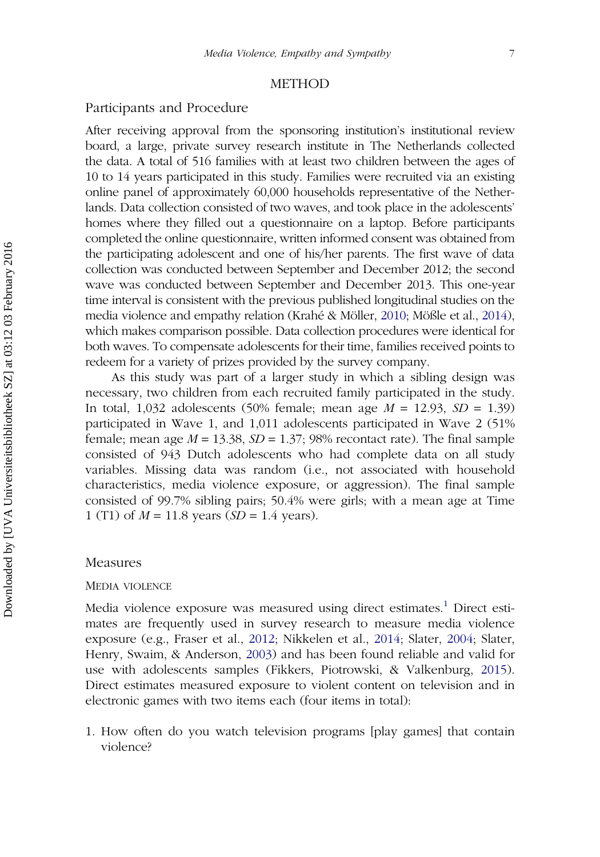#### METHOD

#### Participants and Procedure

After receiving approval from the sponsoring institution's institutional review board, a large, private survey research institute in The Netherlands collected the data. A total of 516 families with at least two children between the ages of 10 to 14 years participated in this study. Families were recruited via an existing online panel of approximately 60,000 households representative of the Netherlands. Data collection consisted of two waves, and took place in the adolescents' homes where they filled out a questionnaire on a laptop. Before participants completed the online questionnaire, written informed consent was obtained from the participating adolescent and one of his/her parents. The first wave of data collection was conducted between September and December 2012; the second wave was conducted between September and December 2013. This one-year time interval is consistent with the previous published longitudinal studies on the media violence and empathy relation (Krahé & Möller, [2010;](#page-17-0) Mößle et al., [2014\)](#page-18-0), which makes comparison possible. Data collection procedures were identical for both waves. To compensate adolescents for their time, families received points to redeem for a variety of prizes provided by the survey company.

As this study was part of a larger study in which a sibling design was necessary, two children from each recruited family participated in the study. In total, 1,032 adolescents (50% female; mean age  $M = 12.93$ ,  $SD = 1.39$ ) participated in Wave 1, and 1,011 adolescents participated in Wave 2 (51% female; mean age  $M = 13.38$ ,  $SD = 1.37$ ; 98% recontact rate). The final sample consisted of 943 Dutch adolescents who had complete data on all study variables. Missing data was random (i.e., not associated with household characteristics, media violence exposure, or aggression). The final sample consisted of 99.7% sibling pairs; 50.4% were girls; with a mean age at Time 1 (T1) of  $M = 11.8$  years (SD = 1.4 years).

#### Measures

#### MEDIA VIOLENCE

Media violence exposure was measured using direct estimates.<sup>1</sup> Direct estimates are frequently used in survey research to measure media violence exposure (e.g., Fraser et al., [2012;](#page-16-0) Nikkelen et al., [2014](#page-18-0); Slater, [2004](#page-18-0); Slater, Henry, Swaim, & Anderson, [2003](#page-18-0)) and has been found reliable and valid for use with adolescents samples (Fikkers, Piotrowski, & Valkenburg, [2015\)](#page-16-0). Direct estimates measured exposure to violent content on television and in electronic games with two items each (four items in total):

1. How often do you watch television programs [play games] that contain violence?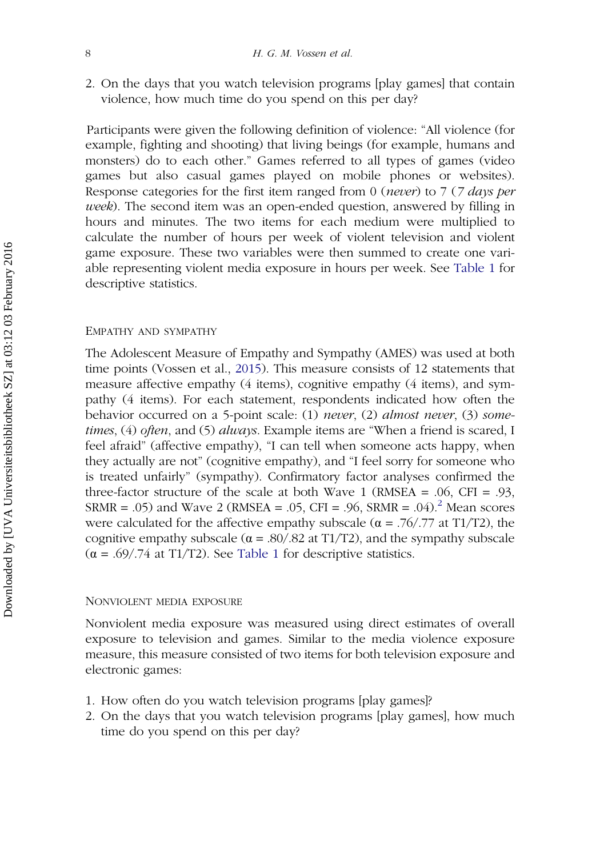2. On the days that you watch television programs [play games] that contain violence, how much time do you spend on this per day?

Participants were given the following definition of violence: "All violence (for example, fighting and shooting) that living beings (for example, humans and monsters) do to each other." Games referred to all types of games (video games but also casual games played on mobile phones or websites). Response categories for the first item ranged from 0 (never) to 7 (7 days per week). The second item was an open-ended question, answered by filling in hours and minutes. The two items for each medium were multiplied to calculate the number of hours per week of violent television and violent game exposure. These two variables were then summed to create one variable representing violent media exposure in hours per week. See [Table 1](#page-9-0) for descriptive statistics.

#### EMPATHY AND SYMPATHY

The Adolescent Measure of Empathy and Sympathy (AMES) was used at both time points (Vossen et al., [2015\)](#page-19-0). This measure consists of 12 statements that measure affective empathy (4 items), cognitive empathy (4 items), and sympathy (4 items). For each statement, respondents indicated how often the behavior occurred on a 5-point scale: (1) never, (2) almost never, (3) sometimes, (4) often, and (5) always. Example items are "When a friend is scared, I feel afraid" (affective empathy), "I can tell when someone acts happy, when they actually are not" (cognitive empathy), and "I feel sorry for someone who is treated unfairly" (sympathy). Confirmatory factor analyses confirmed the three-factor structure of the scale at both Wave 1 (RMSEA =  $.06$ , CFI =  $.93$ , SRMR = .05) and Wave 2 (RMSEA = .05, CFI = .96, SRMR = .04).<sup>2</sup> Mean scores were calculated for the affective empathy subscale ( $\alpha$  = .76/.77 at T1/T2), the cognitive empathy subscale ( $\alpha$  = .80/.82 at T1/T2), and the sympathy subscale  $(\alpha = .69/.74$  at T1/T2). See [Table 1](#page-9-0) for descriptive statistics.

### NONVIOLENT MEDIA EXPOSURE

Nonviolent media exposure was measured using direct estimates of overall exposure to television and games. Similar to the media violence exposure measure, this measure consisted of two items for both television exposure and electronic games:

- 1. How often do you watch television programs [play games]?
- 2. On the days that you watch television programs [play games], how much time do you spend on this per day?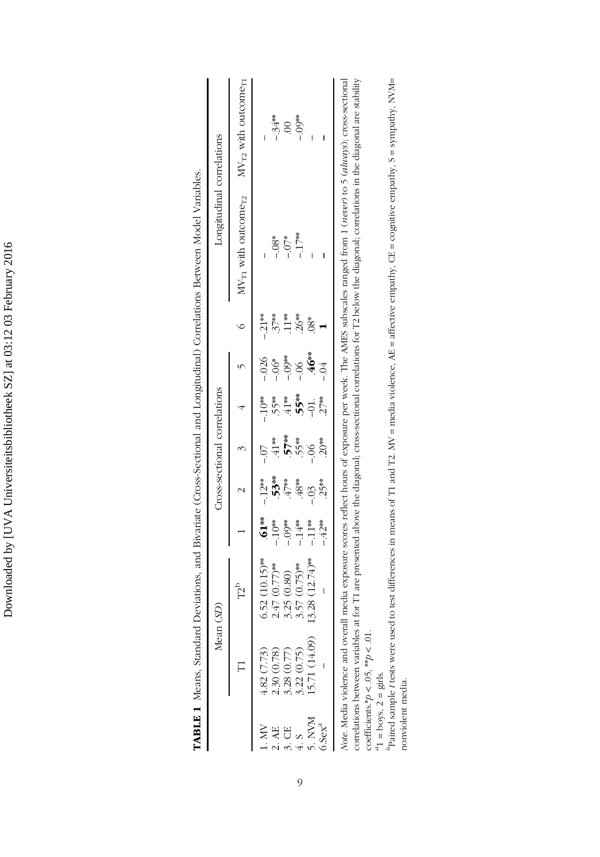<span id="page-9-0"></span>

|           |                | Mean (SD)                                                    |                                                           | Cross-sectional correlations                     |                                                                                                           |                                                                             |                                                | Longitudinal correlations                            |                                      |
|-----------|----------------|--------------------------------------------------------------|-----------------------------------------------------------|--------------------------------------------------|-----------------------------------------------------------------------------------------------------------|-----------------------------------------------------------------------------|------------------------------------------------|------------------------------------------------------|--------------------------------------|
|           |                | $T2^b$                                                       |                                                           |                                                  |                                                                                                           |                                                                             |                                                | $MV_{T1}$ with outcome <sub>T2</sub>                 | $MV_{T2}$ with outcome <sub>T1</sub> |
| 1. M      | 4.82(7.73)     |                                                              |                                                           |                                                  |                                                                                                           |                                                                             |                                                |                                                      |                                      |
| 2. AE     | 2.30 (0.78)    | $6.52(10.15)$ <sup>344</sup><br>2.47 $(0.77)$ <sup>344</sup> |                                                           |                                                  |                                                                                                           |                                                                             | $-21*$<br>$-37*$<br>$-15*$<br>$-36*$<br>$-15*$ |                                                      |                                      |
| 3. CE     | 3.28 (0.77)    |                                                              |                                                           |                                                  |                                                                                                           |                                                                             |                                                | $-08$ <sup>*</sup><br>$-07$ <sup>*</sup><br>$-17$ ** |                                      |
|           | 3.22 (0.75)    | $3.25(0.80)$<br>$3.57(0.75)$ **                              |                                                           |                                                  |                                                                                                           |                                                                             |                                                |                                                      | $-34**$<br>$-00**$                   |
| 5. NVM    | (60.31 (15.71) | 28 (12.74)**                                                 | $\begin{array}{c}\n 12\frac{3}{4} \\  -153\n \end{array}$ | $-07$<br>41 <sup>**</sup><br>41***<br>45<br>50** | $\begin{array}{c} -10^{**} \\ 55^{**} \\ -41^{**} \\ -53^{**} \\ -100 \\ -100 \\ -27^{**} \\ \end{array}$ | $-26$<br>$-36$<br>$-36$<br>$-36$<br>$-36$<br>$-36$<br>$-36$<br>$-1$<br>$-1$ |                                                |                                                      |                                      |
| $6.5ex^a$ |                |                                                              |                                                           |                                                  |                                                                                                           |                                                                             |                                                |                                                      |                                      |

TABLE 1 Means, Standard Deviations, and Bivariate (Cross-Sectional and Longitudinal) Correlations Between Model Variables. and Bivariate (Cross-Sectional and Longitudinal) Correlations Between Model Variables **TARIF 1** Means Standard Deviations

correlations between variables at for T1 are presented above the diagonal; cross-sectional correlations for T2 below the diagonal; correlations in the diagonal are stability Note. Media violence and overall media exposure scores reflect hours of exposure per week. The AMES subscales ranged from 1 (never) to 5 (alta/ays); cross-sectional Note. Media violence and overall media exposure scores reflect hours of exposure per week. The AMES subscales ranged from 1 (never) to 5 (always); cross-sectional correlations between variables at for T1 are presented above the diagonal; cross-sectional correlations for T2 below the diagonal; correlations in the diagonal are stability coefficients.\* $p < .05$ , \*\* $p < .01$ . coefficients.\* $p < .05$ , \*\* $p < .01$ .

 $a_1 = \text{boys}, 2 = \text{girls}.$  $a_1 = \text{boys}, 2 = \text{girls}.$ 

Paired sample t tests were used to test differences in means of T1 and T2. MV = media violence, AE = affective empathy, CE = cognitive empathy, S = sympathy, NVM= Paired sample t tests were used to test differences in means of T1 and T2. MV = media violence, AE = affective empathy, CE = cognitive empathy, S = sympathy, NVM= nonviolent media. nonviolent media.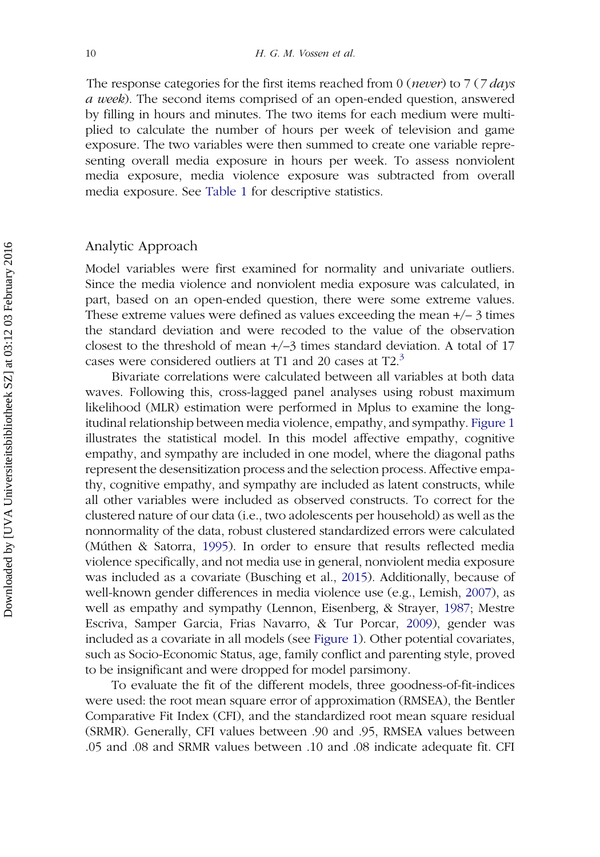The response categories for the first items reached from 0 (never) to 7 (7 days a week). The second items comprised of an open-ended question, answered by filling in hours and minutes. The two items for each medium were multiplied to calculate the number of hours per week of television and game exposure. The two variables were then summed to create one variable representing overall media exposure in hours per week. To assess nonviolent media exposure, media violence exposure was subtracted from overall media exposure. See [Table 1](#page-9-0) for descriptive statistics.

# Analytic Approach

Model variables were first examined for normality and univariate outliers. Since the media violence and nonviolent media exposure was calculated, in part, based on an open-ended question, there were some extreme values. These extreme values were defined as values exceeding the mean  $+/-3$  times the standard deviation and were recoded to the value of the observation closest to the threshold of mean  $+\frac{1}{3}$  times standard deviation. A total of 17 cases were considered outliers at T1 and 20 cases at T2.<sup>3</sup>

Bivariate correlations were calculated between all variables at both data waves. Following this, cross-lagged panel analyses using robust maximum likelihood (MLR) estimation were performed in Mplus to examine the longitudinal relationship between media violence, empathy, and sympathy. [Figure 1](#page-11-0) illustrates the statistical model. In this model affective empathy, cognitive empathy, and sympathy are included in one model, where the diagonal paths represent the desensitization process and the selection process. Affective empathy, cognitive empathy, and sympathy are included as latent constructs, while all other variables were included as observed constructs. To correct for the clustered nature of our data (i.e., two adolescents per household) as well as the nonnormality of the data, robust clustered standardized errors were calculated (Múthen & Satorra, [1995\)](#page-18-0). In order to ensure that results reflected media violence specifically, and not media use in general, nonviolent media exposure was included as a covariate (Busching et al., [2015\)](#page-15-0). Additionally, because of well-known gender differences in media violence use (e.g., Lemish, [2007\)](#page-17-0), as well as empathy and sympathy (Lennon, Eisenberg, & Strayer, [1987;](#page-17-0) Mestre Escriva, Samper Garcia, Frias Navarro, & Tur Porcar, [2009](#page-17-0)), gender was included as a covariate in all models (see [Figure 1](#page-11-0)). Other potential covariates, such as Socio-Economic Status, age, family conflict and parenting style, proved to be insignificant and were dropped for model parsimony.

To evaluate the fit of the different models, three goodness-of-fit-indices were used: the root mean square error of approximation (RMSEA), the Bentler Comparative Fit Index (CFI), and the standardized root mean square residual (SRMR). Generally, CFI values between .90 and .95, RMSEA values between .05 and .08 and SRMR values between .10 and .08 indicate adequate fit. CFI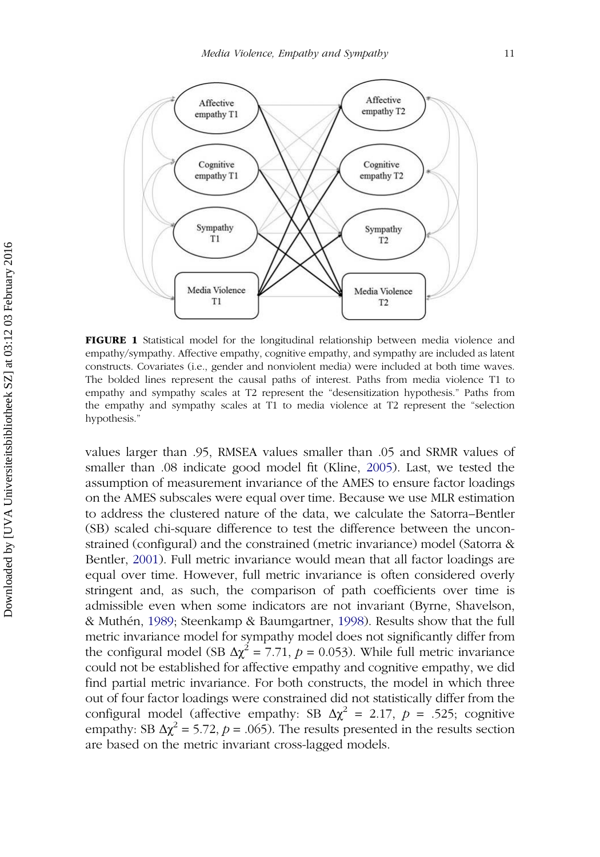<span id="page-11-0"></span>

FIGURE 1 Statistical model for the longitudinal relationship between media violence and empathy/sympathy. Affective empathy, cognitive empathy, and sympathy are included as latent constructs. Covariates (i.e., gender and nonviolent media) were included at both time waves. The bolded lines represent the causal paths of interest. Paths from media violence T1 to empathy and sympathy scales at T2 represent the "desensitization hypothesis." Paths from the empathy and sympathy scales at T1 to media violence at T2 represent the "selection hypothesis."

values larger than .95, RMSEA values smaller than .05 and SRMR values of smaller than .08 indicate good model fit (Kline, [2005\)](#page-17-0). Last, we tested the assumption of measurement invariance of the AMES to ensure factor loadings on the AMES subscales were equal over time. Because we use MLR estimation to address the clustered nature of the data, we calculate the Satorra–Bentler (SB) scaled chi-square difference to test the difference between the unconstrained (configural) and the constrained (metric invariance) model (Satorra & Bentler, [2001](#page-18-0)). Full metric invariance would mean that all factor loadings are equal over time. However, full metric invariance is often considered overly stringent and, as such, the comparison of path coefficients over time is admissible even when some indicators are not invariant (Byrne, Shavelson, & Muthén, [1989;](#page-16-0) Steenkamp & Baumgartner, [1998\)](#page-19-0). Results show that the full metric invariance model for sympathy model does not significantly differ from the configural model (SB  $\Delta \chi^2 = 7.71$ ,  $p = 0.053$ ). While full metric invariance could not be established for affective empathy and cognitive empathy, we did find partial metric invariance. For both constructs, the model in which three out of four factor loadings were constrained did not statistically differ from the configural model (affective empathy: SB  $\Delta \chi^2 = 2.17$ ,  $p = .525$ ; cognitive empathy: SB  $\Delta \chi^2$  = 5.72, p = .065). The results presented in the results section are based on the metric invariant cross-lagged models.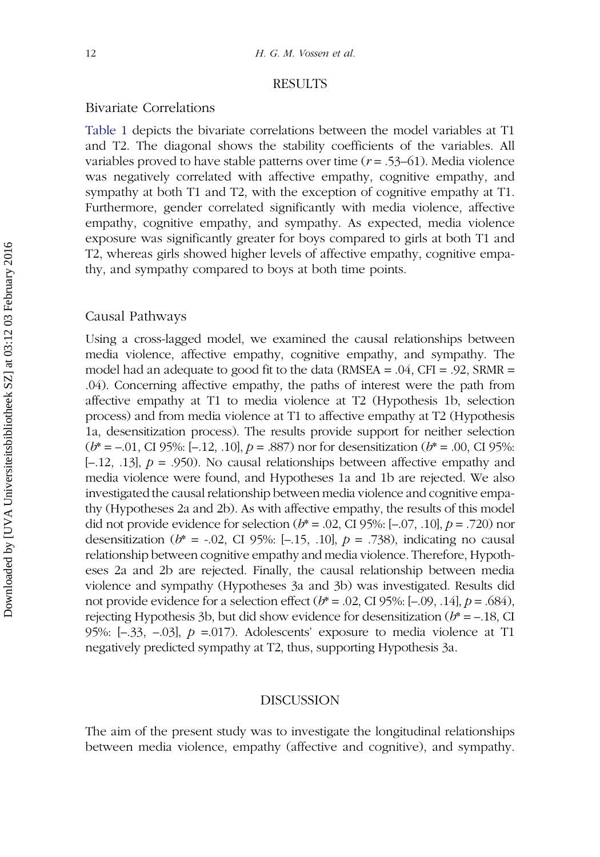# RESULTS

# Bivariate Correlations

[Table 1](#page-9-0) depicts the bivariate correlations between the model variables at T1 and T2. The diagonal shows the stability coefficients of the variables. All variables proved to have stable patterns over time  $(r = .53-61)$ . Media violence was negatively correlated with affective empathy, cognitive empathy, and sympathy at both T1 and T2, with the exception of cognitive empathy at T1. Furthermore, gender correlated significantly with media violence, affective empathy, cognitive empathy, and sympathy. As expected, media violence exposure was significantly greater for boys compared to girls at both T1 and T2, whereas girls showed higher levels of affective empathy, cognitive empathy, and sympathy compared to boys at both time points.

### Causal Pathways

Using a cross-lagged model, we examined the causal relationships between media violence, affective empathy, cognitive empathy, and sympathy. The model had an adequate to good fit to the data (RMSEA =  $.04$ , CFI =  $.92$ , SRMR = .04). Concerning affective empathy, the paths of interest were the path from affective empathy at T1 to media violence at T2 (Hypothesis 1b, selection process) and from media violence at T1 to affective empathy at T2 (Hypothesis 1a, desensitization process). The results provide support for neither selection  $(b^* = -0.01, C195\%$ : [-.12, .10],  $p = .887$ ) nor for desensitization  $(b^* = .00, C195\%$ : [ $-12$ ,  $13$ ],  $p = .950$ ). No causal relationships between affective empathy and media violence were found, and Hypotheses 1a and 1b are rejected. We also investigated the causal relationship between media violence and cognitive empathy (Hypotheses 2a and 2b). As with affective empathy, the results of this model did not provide evidence for selection ( $b^*$  = .02, CI 95%: [-.07, .10],  $p = .720$ ) nor desensitization ( $b^* = -0.02$ , CI 95%:  $[-0.15, 0.10]$ ,  $p = 0.738$ ), indicating no causal relationship between cognitive empathy and media violence. Therefore, Hypotheses 2a and 2b are rejected. Finally, the causal relationship between media violence and sympathy (Hypotheses 3a and 3b) was investigated. Results did not provide evidence for a selection effect  $(b^* = .02, C195\%$ :  $[-.09, .14]$ ,  $p = .684$ ), rejecting Hypothesis 3b, but did show evidence for desensitization ( $b^* = -.18$ , CI 95%:  $[-33, -03]$ ,  $p = 017$ ). Adolescents' exposure to media violence at T1 negatively predicted sympathy at T2, thus, supporting Hypothesis 3a.

#### DISCUSSION

The aim of the present study was to investigate the longitudinal relationships between media violence, empathy (affective and cognitive), and sympathy.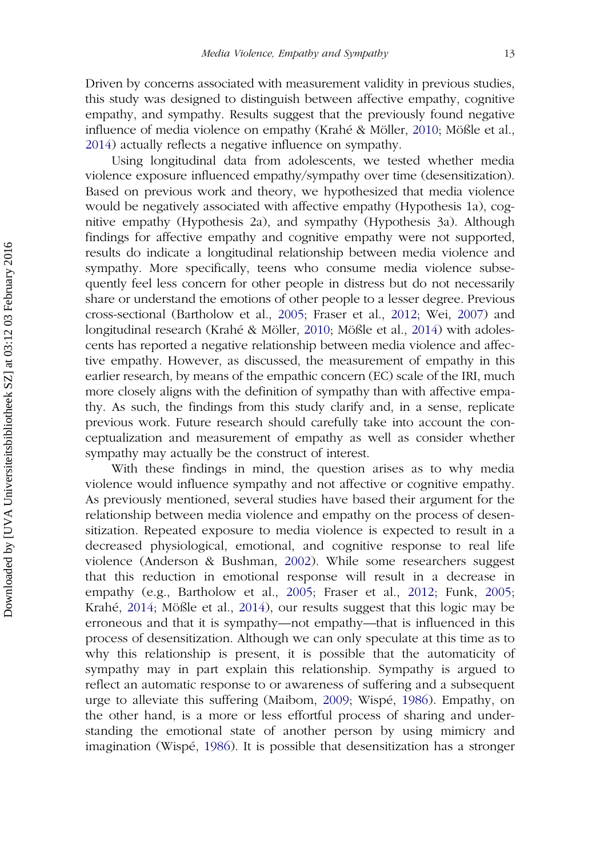Driven by concerns associated with measurement validity in previous studies, this study was designed to distinguish between affective empathy, cognitive empathy, and sympathy. Results suggest that the previously found negative influence of media violence on empathy (Krahé & Möller, [2010](#page-17-0); Mößle et al., [2014\)](#page-18-0) actually reflects a negative influence on sympathy.

Using longitudinal data from adolescents, we tested whether media violence exposure influenced empathy/sympathy over time (desensitization). Based on previous work and theory, we hypothesized that media violence would be negatively associated with affective empathy (Hypothesis 1a), cognitive empathy (Hypothesis 2a), and sympathy (Hypothesis 3a). Although findings for affective empathy and cognitive empathy were not supported, results do indicate a longitudinal relationship between media violence and sympathy. More specifically, teens who consume media violence subsequently feel less concern for other people in distress but do not necessarily share or understand the emotions of other people to a lesser degree. Previous cross-sectional (Bartholow et al., [2005](#page-15-0); Fraser et al., [2012](#page-16-0); Wei, [2007](#page-19-0)) and longitudinal research (Krahé & Möller, [2010](#page-17-0); Mößle et al., [2014\)](#page-18-0) with adolescents has reported a negative relationship between media violence and affective empathy. However, as discussed, the measurement of empathy in this earlier research, by means of the empathic concern (EC) scale of the IRI, much more closely aligns with the definition of sympathy than with affective empathy. As such, the findings from this study clarify and, in a sense, replicate previous work. Future research should carefully take into account the conceptualization and measurement of empathy as well as consider whether sympathy may actually be the construct of interest.

With these findings in mind, the question arises as to why media violence would influence sympathy and not affective or cognitive empathy. As previously mentioned, several studies have based their argument for the relationship between media violence and empathy on the process of desensitization. Repeated exposure to media violence is expected to result in a decreased physiological, emotional, and cognitive response to real life violence (Anderson & Bushman, [2002](#page-15-0)). While some researchers suggest that this reduction in emotional response will result in a decrease in empathy (e.g., Bartholow et al., [2005;](#page-15-0) Fraser et al., [2012;](#page-16-0) Funk, [2005;](#page-16-0) Krahé, [2014](#page-17-0); Mößle et al., [2014\)](#page-18-0), our results suggest that this logic may be erroneous and that it is sympathy—not empathy—that is influenced in this process of desensitization. Although we can only speculate at this time as to why this relationship is present, it is possible that the automaticity of sympathy may in part explain this relationship. Sympathy is argued to reflect an automatic response to or awareness of suffering and a subsequent urge to alleviate this suffering (Maibom, [2009](#page-17-0); Wispé, [1986\)](#page-19-0). Empathy, on the other hand, is a more or less effortful process of sharing and understanding the emotional state of another person by using mimicry and imagination (Wispé, [1986](#page-19-0)). It is possible that desensitization has a stronger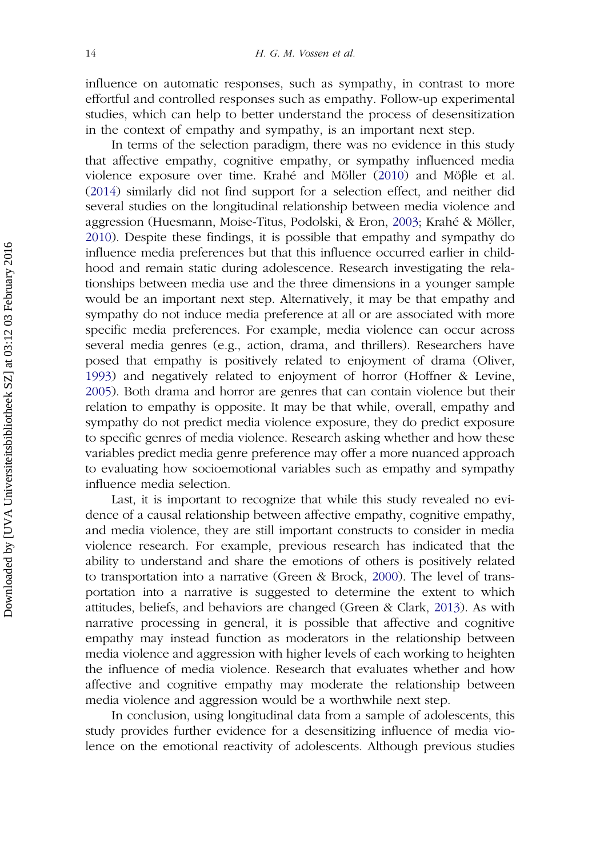influence on automatic responses, such as sympathy, in contrast to more effortful and controlled responses such as empathy. Follow-up experimental studies, which can help to better understand the process of desensitization in the context of empathy and sympathy, is an important next step.

In terms of the selection paradigm, there was no evidence in this study that affective empathy, cognitive empathy, or sympathy influenced media violence exposure over time. Krahé and Möller [\(2010](#page-17-0)) and Möβle et al. ([2014\)](#page-18-0) similarly did not find support for a selection effect, and neither did several studies on the longitudinal relationship between media violence and aggression (Huesmann, Moise-Titus, Podolski, & Eron, [2003;](#page-17-0) Krahé & Möller, [2010\)](#page-17-0). Despite these findings, it is possible that empathy and sympathy do influence media preferences but that this influence occurred earlier in childhood and remain static during adolescence. Research investigating the relationships between media use and the three dimensions in a younger sample would be an important next step. Alternatively, it may be that empathy and sympathy do not induce media preference at all or are associated with more specific media preferences. For example, media violence can occur across several media genres (e.g., action, drama, and thrillers). Researchers have posed that empathy is positively related to enjoyment of drama (Oliver, [1993\)](#page-18-0) and negatively related to enjoyment of horror (Hoffner & Levine, [2005\)](#page-17-0). Both drama and horror are genres that can contain violence but their relation to empathy is opposite. It may be that while, overall, empathy and sympathy do not predict media violence exposure, they do predict exposure to specific genres of media violence. Research asking whether and how these variables predict media genre preference may offer a more nuanced approach to evaluating how socioemotional variables such as empathy and sympathy influence media selection.

Last, it is important to recognize that while this study revealed no evidence of a causal relationship between affective empathy, cognitive empathy, and media violence, they are still important constructs to consider in media violence research. For example, previous research has indicated that the ability to understand and share the emotions of others is positively related to transportation into a narrative (Green & Brock, [2000](#page-17-0)). The level of transportation into a narrative is suggested to determine the extent to which attitudes, beliefs, and behaviors are changed (Green & Clark, [2013](#page-17-0)). As with narrative processing in general, it is possible that affective and cognitive empathy may instead function as moderators in the relationship between media violence and aggression with higher levels of each working to heighten the influence of media violence. Research that evaluates whether and how affective and cognitive empathy may moderate the relationship between media violence and aggression would be a worthwhile next step.

In conclusion, using longitudinal data from a sample of adolescents, this study provides further evidence for a desensitizing influence of media violence on the emotional reactivity of adolescents. Although previous studies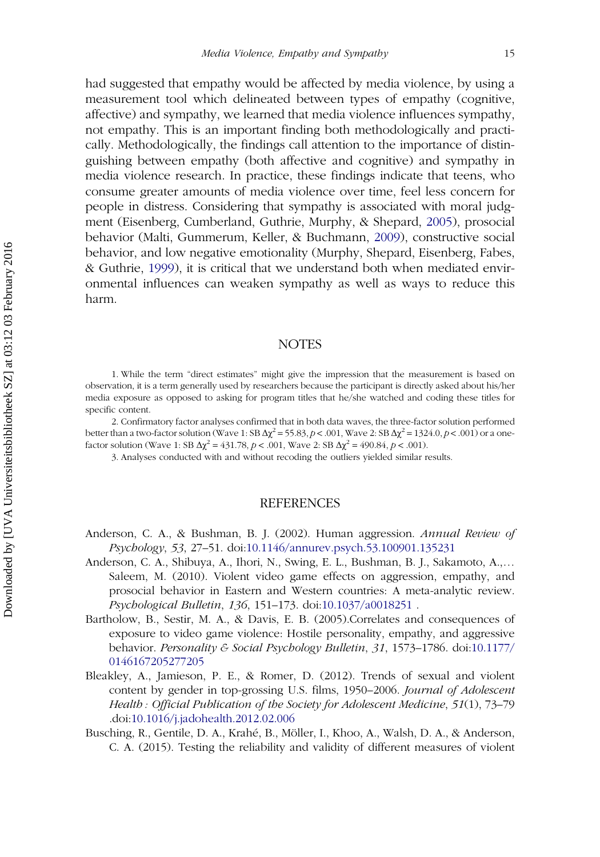<span id="page-15-0"></span>had suggested that empathy would be affected by media violence, by using a measurement tool which delineated between types of empathy (cognitive, affective) and sympathy, we learned that media violence influences sympathy, not empathy. This is an important finding both methodologically and practically. Methodologically, the findings call attention to the importance of distinguishing between empathy (both affective and cognitive) and sympathy in media violence research. In practice, these findings indicate that teens, who consume greater amounts of media violence over time, feel less concern for people in distress. Considering that sympathy is associated with moral judgment (Eisenberg, Cumberland, Guthrie, Murphy, & Shepard, [2005\)](#page-16-0), prosocial behavior (Malti, Gummerum, Keller, & Buchmann, [2009](#page-17-0)), constructive social behavior, and low negative emotionality (Murphy, Shepard, Eisenberg, Fabes, & Guthrie, [1999](#page-18-0)), it is critical that we understand both when mediated environmental influences can weaken sympathy as well as ways to reduce this harm.

# **NOTES**

1. While the term "direct estimates" might give the impression that the measurement is based on observation, it is a term generally used by researchers because the participant is directly asked about his/her media exposure as opposed to asking for program titles that he/she watched and coding these titles for specific content.

2. Confirmatory factor analyses confirmed that in both data waves, the three-factor solution performed better than a two-factor solution (Wave 1: SB  $\Delta \chi^2 = 55.83$ ,  $\rho < .001$ , Wave 2: SB  $\Delta \chi^2 = 1324.0$ ,  $\rho < .001$ ) or a onefactor solution (Wave 1: SB  $\Delta \chi^2 = 431.78$ ,  $p < .001$ , Wave 2: SB  $\Delta \chi^2 = 490.84$ ,  $p < .001$ ).

3. Analyses conducted with and without recoding the outliers yielded similar results.

#### REFERENCES

- Anderson, C. A., & Bushman, B. J. (2002). Human aggression. Annual Review of Psychology, 53, 27–51. doi:[10.1146/annurev.psych.53.100901.135231](http://dx.doi.org/10.1146/annurev.psych.53.100901.135231)
- Anderson, C. A., Shibuya, A., Ihori, N., Swing, E. L., Bushman, B. J., Sakamoto, A.,… Saleem, M. (2010). Violent video game effects on aggression, empathy, and prosocial behavior in Eastern and Western countries: A meta-analytic review. Psychological Bulletin, 136, 151–173. doi:[10.1037/a0018251](http://dx.doi.org/10.1037/a0018251) .
- Bartholow, B., Sestir, M. A., & Davis, E. B. (2005).Correlates and consequences of exposure to video game violence: Hostile personality, empathy, and aggressive behavior. Personality & Social Psychology Bulletin, 31, 1573–1786. doi:[10.1177/](http://dx.doi.org/10.1177/0146167205277205) [0146167205277205](http://dx.doi.org/10.1177/0146167205277205)
- Bleakley, A., Jamieson, P. E., & Romer, D. (2012). Trends of sexual and violent content by gender in top-grossing U.S. films, 1950–2006. Journal of Adolescent Health : Official Publication of the Society for Adolescent Medicine, 51(1), 73-79 .doi:[10.1016/j.jadohealth.2012.02.006](http://dx.doi.org/10.1016/j.jadohealth.2012.02.006)
- Busching, R., Gentile, D. A., Krahé, B., Möller, I., Khoo, A., Walsh, D. A., & Anderson, C. A. (2015). Testing the reliability and validity of different measures of violent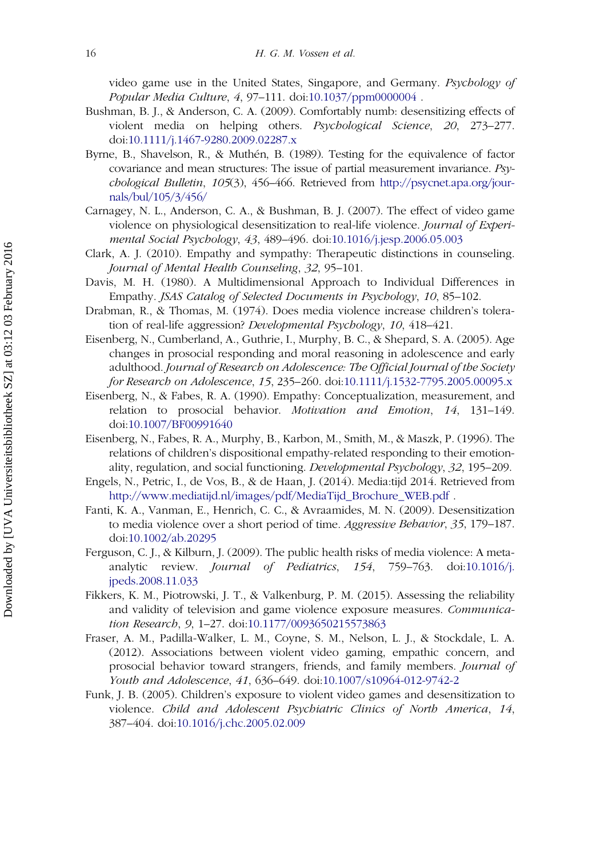<span id="page-16-0"></span>video game use in the United States, Singapore, and Germany. Psychology of Popular Media Culture, 4, 97–111. doi:[10.1037/ppm0000004](http://dx.doi.org/10.1037/ppm0000004) .

- Bushman, B. J., & Anderson, C. A. (2009). Comfortably numb: desensitizing effects of violent media on helping others. Psychological Science, 20, 273–277. doi:[10.1111/j.1467-9280.2009.02287.x](http://dx.doi.org/10.1111/j.1467-9280.2009.02287.x)
- Byrne, B., Shavelson, R., & Muthén, B. (1989). Testing for the equivalence of factor covariance and mean structures: The issue of partial measurement invariance. Psychological Bulletin, 105(3), 456–466. Retrieved from [http://psycnet.apa.org/jour](http://psycnet.apa.org/journals/bul/105/3/456/)[nals/bul/105/3/456/](http://psycnet.apa.org/journals/bul/105/3/456/)
- Carnagey, N. L., Anderson, C. A., & Bushman, B. J. (2007). The effect of video game violence on physiological desensitization to real-life violence. Journal of Experimental Social Psychology, 43, 489–496. doi:[10.1016/j.jesp.2006.05.003](http://dx.doi.org/10.1016/j.jesp.2006.05.003)
- Clark, A. J. (2010). Empathy and sympathy: Therapeutic distinctions in counseling. Journal of Mental Health Counseling, 32, 95–101.
- Davis, M. H. (1980). A Multidimensional Approach to Individual Differences in Empathy. JSAS Catalog of Selected Documents in Psychology, 10, 85–102.
- Drabman, R., & Thomas, M. (1974). Does media violence increase children's toleration of real-life aggression? Developmental Psychology, 10, 418–421.
- Eisenberg, N., Cumberland, A., Guthrie, I., Murphy, B. C., & Shepard, S. A. (2005). Age changes in prosocial responding and moral reasoning in adolescence and early adulthood. Journal of Research on Adolescence: The Official Journal of the Society for Research on Adolescence, 15, 235–260. doi:[10.1111/j.1532-7795.2005.00095.x](http://dx.doi.org/10.1111/j.1532-7795.2005.00095.x)
- Eisenberg, N., & Fabes, R. A. (1990). Empathy: Conceptualization, measurement, and relation to prosocial behavior. Motivation and Emotion, 14, 131–149. doi:[10.1007/BF00991640](http://dx.doi.org/10.1007/BF00991640)
- Eisenberg, N., Fabes, R. A., Murphy, B., Karbon, M., Smith, M., & Maszk, P. (1996). The relations of children's dispositional empathy-related responding to their emotionality, regulation, and social functioning. Developmental Psychology, 32, 195–209.
- Engels, N., Petric, I., de Vos, B., & de Haan, J. (2014). Media:tijd 2014. Retrieved from [http://www.mediatijd.nl/images/pdf/MediaTijd\\_Brochure\\_WEB.pdf](http://www.mediatijd.nl/images/pdf/MediaTijd_Brochure_WEB.pdf) .
- Fanti, K. A., Vanman, E., Henrich, C. C., & Avraamides, M. N. (2009). Desensitization to media violence over a short period of time. Aggressive Behavior, 35, 179–187. doi:[10.1002/ab.20295](http://dx.doi.org/10.1002/ab.20295)
- Ferguson, C. J., & Kilburn, J. (2009). The public health risks of media violence: A metaanalytic review. Journal of Pediatrics, 154, 759–763. doi:[10.1016/j.](http://dx.doi.org/10.1016/j.jpeds.2008.11.033) [jpeds.2008.11.033](http://dx.doi.org/10.1016/j.jpeds.2008.11.033)
- Fikkers, K. M., Piotrowski, J. T., & Valkenburg, P. M. (2015). Assessing the reliability and validity of television and game violence exposure measures. Communication Research, 9, 1–27. doi:[10.1177/0093650215573863](http://dx.doi.org/10.1177/0093650215573863)
- Fraser, A. M., Padilla-Walker, L. M., Coyne, S. M., Nelson, L. J., & Stockdale, L. A. (2012). Associations between violent video gaming, empathic concern, and prosocial behavior toward strangers, friends, and family members. Journal of Youth and Adolescence, 41, 636–649. doi:[10.1007/s10964-012-9742-2](http://dx.doi.org/10.1007/s10964-012-9742-2)
- Funk, J. B. (2005). Children's exposure to violent video games and desensitization to violence. Child and Adolescent Psychiatric Clinics of North America, 14, 387–404. doi:[10.1016/j.chc.2005.02.009](http://dx.doi.org/10.1016/j.chc.2005.02.009)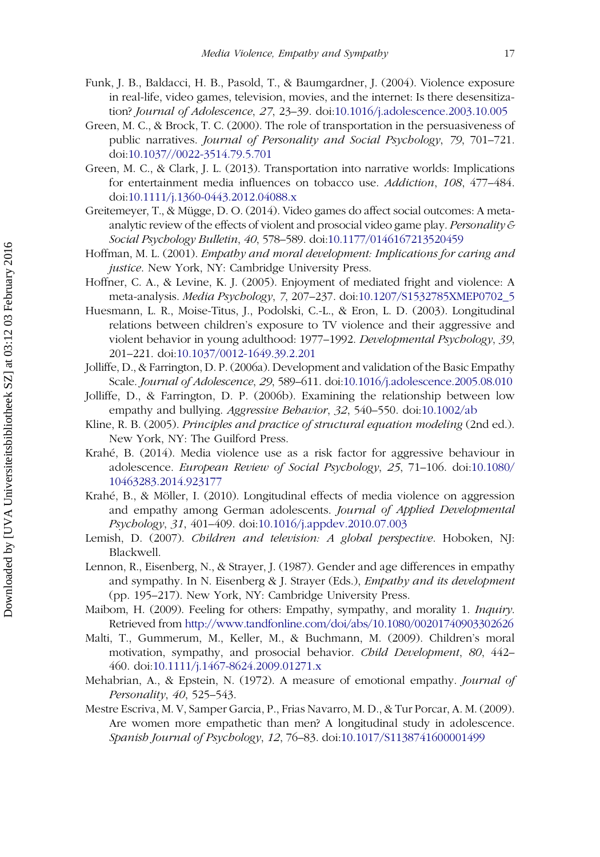- <span id="page-17-0"></span>Funk, J. B., Baldacci, H. B., Pasold, T., & Baumgardner, J. (2004). Violence exposure in real-life, video games, television, movies, and the internet: Is there desensitization? Journal of Adolescence, 27, 23–39. doi:[10.1016/j.adolescence.2003.10.005](http://dx.doi.org/10.1016/j.adolescence.2003.10.005)
- Green, M. C., & Brock, T. C. (2000). The role of transportation in the persuasiveness of public narratives. Journal of Personality and Social Psychology, 79, 701–721. doi:[10.1037//0022-3514.79.5.701](http://dx.doi.org/10.1037//0022-3514.79.5.701)
- Green, M. C., & Clark, J. L. (2013). Transportation into narrative worlds: Implications for entertainment media influences on tobacco use. Addiction, 108, 477–484. doi:[10.1111/j.1360-0443.2012.04088.x](http://dx.doi.org/10.1111/j.1360-0443.2012.04088.x)
- Greitemeyer, T., & Mügge, D. O. (2014). Video games do affect social outcomes: A metaanalytic review of the effects of violent and prosocial video game play. Personality  $\epsilon$ Social Psychology Bulletin, 40, 578–589. doi:[10.1177/0146167213520459](http://dx.doi.org/10.1177/0146167213520459)
- Hoffman, M. L. (2001). Empathy and moral development: Implications for caring and justice. New York, NY: Cambridge University Press.
- Hoffner, C. A., & Levine, K. J. (2005). Enjoyment of mediated fright and violence: A meta-analysis. Media Psychology, 7, 207–237. doi:[10.1207/S1532785XMEP0702\\_5](http://dx.doi.org/10.1207/S1532785XMEP0702%5F5)
- Huesmann, L. R., Moise-Titus, J., Podolski, C.-L., & Eron, L. D. (2003). Longitudinal relations between children's exposure to TV violence and their aggressive and violent behavior in young adulthood: 1977–1992. Developmental Psychology, 39, 201–221. doi:[10.1037/0012-1649.39.2.201](http://dx.doi.org/10.1037/0012-1649.39.2.201)
- Jolliffe, D., & Farrington, D. P. (2006a). Development and validation of the Basic Empathy Scale. Journal of Adolescence, 29, 589–611. doi:[10.1016/j.adolescence.2005.08.010](http://dx.doi.org/10.1016/j.adolescence.2005.08.010)
- Jolliffe, D., & Farrington, D. P. (2006b). Examining the relationship between low empathy and bullying. Aggressive Behavior, 32, 540–550. doi:[10.1002/ab](http://dx.doi.org/10.1002/ab)
- Kline, R. B. (2005). Principles and practice of structural equation modeling (2nd ed.). New York, NY: The Guilford Press.
- Krahé, B. (2014). Media violence use as a risk factor for aggressive behaviour in adolescence. European Review of Social Psychology, 25, 71–106. doi:[10.1080/](http://dx.doi.org/10.1080/10463283.2014.923177) [10463283.2014.923177](http://dx.doi.org/10.1080/10463283.2014.923177)
- Krahé, B., & Möller, I. (2010). Longitudinal effects of media violence on aggression and empathy among German adolescents. Journal of Applied Developmental Psychology, 31, 401–409. doi:[10.1016/j.appdev.2010.07.003](http://dx.doi.org/10.1016/j.appdev.2010.07.003)
- Lemish, D. (2007). Children and television: A global perspective. Hoboken, NJ: Blackwell.
- Lennon, R., Eisenberg, N., & Strayer, J. (1987). Gender and age differences in empathy and sympathy. In N. Eisenberg & J. Strayer (Eds.), Empathy and its development (pp. 195–217). New York, NY: Cambridge University Press.
- Maibom, H. (2009). Feeling for others: Empathy, sympathy, and morality 1. Inquiry. Retrieved from <http://www.tandfonline.com/doi/abs/10.1080/00201740903302626>
- Malti, T., Gummerum, M., Keller, M., & Buchmann, M. (2009). Children's moral motivation, sympathy, and prosocial behavior. Child Development, 80, 442– 460. doi:[10.1111/j.1467-8624.2009.01271.x](http://dx.doi.org/10.1111/j.1467-8624.2009.01271.x)
- Mehabrian, A., & Epstein, N. (1972). A measure of emotional empathy. Journal of Personality, 40, 525–543.
- Mestre Escriva, M. V, Samper Garcia, P., Frias Navarro, M. D., & Tur Porcar, A. M. (2009). Are women more empathetic than men? A longitudinal study in adolescence. Spanish Journal of Psychology, 12, 76–83. doi:[10.1017/S1138741600001499](http://dx.doi.org/10.1017/S1138741600001499)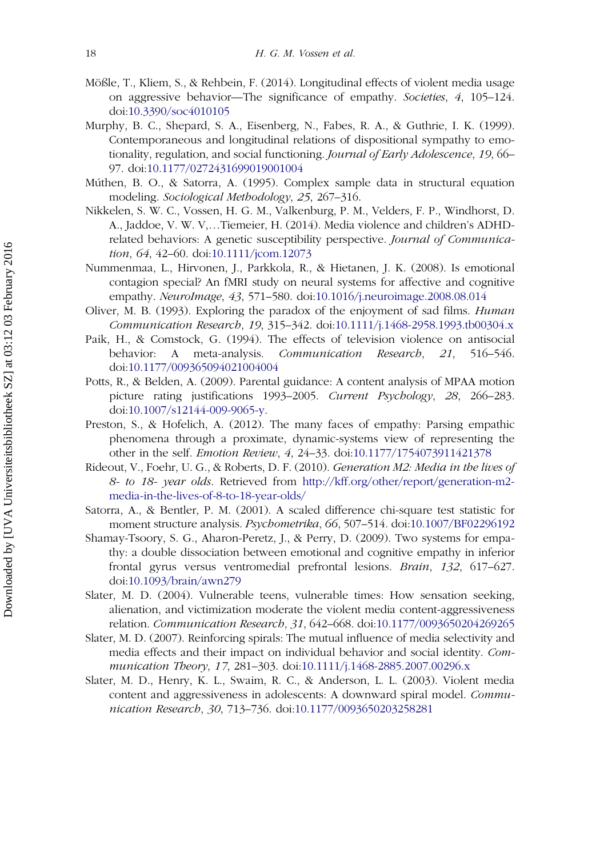- <span id="page-18-0"></span>Mößle, T., Kliem, S., & Rehbein, F. (2014). Longitudinal effects of violent media usage on aggressive behavior—The significance of empathy. Societies, 4, 105–124. doi:[10.3390/soc4010105](http://dx.doi.org/10.3390/soc4010105)
- Murphy, B. C., Shepard, S. A., Eisenberg, N., Fabes, R. A., & Guthrie, I. K. (1999). Contemporaneous and longitudinal relations of dispositional sympathy to emotionality, regulation, and social functioning. Journal of Early Adolescence, 19, 66– 97. doi:[10.1177/0272431699019001004](http://dx.doi.org/10.1177/0272431699019001004)
- Múthen, B. O., & Satorra, A. (1995). Complex sample data in structural equation modeling. Sociological Methodology, 25, 267–316.
- Nikkelen, S. W. C., Vossen, H. G. M., Valkenburg, P. M., Velders, F. P., Windhorst, D. A., Jaddoe, V. W. V,…Tiemeier, H. (2014). Media violence and children's ADHDrelated behaviors: A genetic susceptibility perspective. Journal of Communication, 64, 42–60. doi:[10.1111/jcom.12073](http://dx.doi.org/10.1111/jcom.12073)
- Nummenmaa, L., Hirvonen, J., Parkkola, R., & Hietanen, J. K. (2008). Is emotional contagion special? An fMRI study on neural systems for affective and cognitive empathy. NeuroImage, 43, 571–580. doi:[10.1016/j.neuroimage.2008.08.014](http://dx.doi.org/10.1016/j.neuroimage.2008.08.014)
- Oliver, M. B. (1993). Exploring the paradox of the enjoyment of sad films. Human Communication Research, 19, 315–342. doi:[10.1111/j.1468-2958.1993.tb00304.x](http://dx.doi.org/10.1111/j.1468-2958.1993.tb00304.x)
- Paik, H., & Comstock, G. (1994). The effects of television violence on antisocial behavior: A meta-analysis. Communication Research, 21, 516–546. doi:[10.1177/009365094021004004](http://dx.doi.org/10.1177/009365094021004004)
- Potts, R., & Belden, A. (2009). Parental guidance: A content analysis of MPAA motion picture rating justifications 1993–2005. Current Psychology, 28, 266–283. doi:[10.1007/s12144-009-9065-y](http://dx.doi.org/10.1007/s12144-009-9065-y).
- Preston, S., & Hofelich, A. (2012). The many faces of empathy: Parsing empathic phenomena through a proximate, dynamic-systems view of representing the other in the self. Emotion Review, 4, 24–33. doi:[10.1177/1754073911421378](http://dx.doi.org/10.1177/1754073911421378)
- Rideout, V., Foehr, U. G., & Roberts, D. F. (2010). Generation M2: Media in the lives of 8- to 18- year olds. Retrieved from [http://kff.org/other/report/generation-m2](http://kff.org/other/report/generation-m2-media-in-the-lives-of-8-to-18-year-olds/) [media-in-the-lives-of-8-to-18-year-olds/](http://kff.org/other/report/generation-m2-media-in-the-lives-of-8-to-18-year-olds/)
- Satorra, A., & Bentler, P. M. (2001). A scaled difference chi-square test statistic for moment structure analysis. Psychometrika, 66, 507–514. doi:[10.1007/BF02296192](http://dx.doi.org/10.1007/BF02296192)
- Shamay-Tsoory, S. G., Aharon-Peretz, J., & Perry, D. (2009). Two systems for empathy: a double dissociation between emotional and cognitive empathy in inferior frontal gyrus versus ventromedial prefrontal lesions. Brain, 132, 617–627. doi:[10.1093/brain/awn279](http://dx.doi.org/10.1093/brain/awn279)
- Slater, M. D. (2004). Vulnerable teens, vulnerable times: How sensation seeking, alienation, and victimization moderate the violent media content-aggressiveness relation. Communication Research, 31, 642–668. doi:[10.1177/0093650204269265](http://dx.doi.org/10.1177/0093650204269265)
- Slater, M. D. (2007). Reinforcing spirals: The mutual influence of media selectivity and media effects and their impact on individual behavior and social identity. Communication Theory, 17, 281–303. doi:[10.1111/j.1468-2885.2007.00296.x](http://dx.doi.org/10.1111/j.1468-2885.2007.00296.x)
- Slater, M. D., Henry, K. L., Swaim, R. C., & Anderson, L. L. (2003). Violent media content and aggressiveness in adolescents: A downward spiral model. Communication Research, 30, 713–736. doi:[10.1177/0093650203258281](http://dx.doi.org/10.1177/0093650203258281)